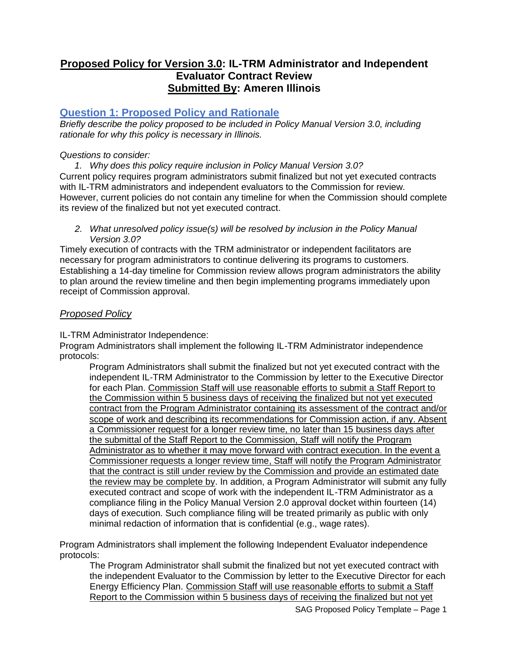## **Proposed Policy for Version 3.0: IL-TRM Administrator and Independent Evaluator Contract Review Submitted By: Ameren Illinois**

## **Question 1: Proposed Policy and Rationale**

*Briefly describe the policy proposed to be included in Policy Manual Version 3.0, including rationale for why this policy is necessary in Illinois.*

#### *Questions to consider:*

*1. Why does this policy require inclusion in Policy Manual Version 3.0?* Current policy requires program administrators submit finalized but not yet executed contracts with IL-TRM administrators and independent evaluators to the Commission for review. However, current policies do not contain any timeline for when the Commission should complete its review of the finalized but not yet executed contract.

*2. What unresolved policy issue(s) will be resolved by inclusion in the Policy Manual Version 3.0?*

Timely execution of contracts with the TRM administrator or independent facilitators are necessary for program administrators to continue delivering its programs to customers. Establishing a 14-day timeline for Commission review allows program administrators the ability to plan around the review timeline and then begin implementing programs immediately upon receipt of Commission approval.

#### *Proposed Policy*

IL-TRM Administrator Independence:

Program Administrators shall implement the following IL-TRM Administrator independence protocols:

Program Administrators shall submit the finalized but not yet executed contract with the independent IL-TRM Administrator to the Commission by letter to the Executive Director for each Plan. Commission Staff will use reasonable efforts to submit a Staff Report to the Commission within 5 business days of receiving the finalized but not yet executed contract from the Program Administrator containing its assessment of the contract and/or scope of work and describing its recommendations for Commission action, if any. Absent a Commissioner request for a longer review time, no later than 15 business days after the submittal of the Staff Report to the Commission, Staff will notify the Program Administrator as to whether it may move forward with contract execution. In the event a Commissioner requests a longer review time, Staff will notify the Program Administrator that the contract is still under review by the Commission and provide an estimated date the review may be complete by. In addition, a Program Administrator will submit any fully executed contract and scope of work with the independent IL-TRM Administrator as a compliance filing in the Policy Manual Version 2.0 approval docket within fourteen (14) days of execution. Such compliance filing will be treated primarily as public with only minimal redaction of information that is confidential (e.g., wage rates).

Program Administrators shall implement the following Independent Evaluator independence protocols:

The Program Administrator shall submit the finalized but not yet executed contract with the independent Evaluator to the Commission by letter to the Executive Director for each Energy Efficiency Plan. Commission Staff will use reasonable efforts to submit a Staff Report to the Commission within 5 business days of receiving the finalized but not yet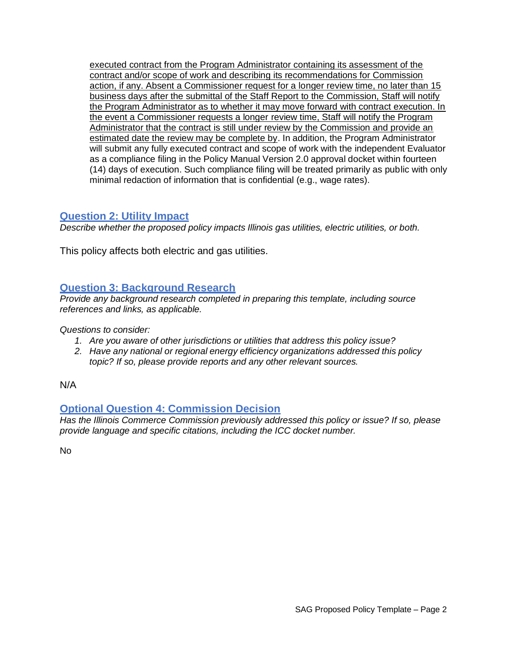executed contract from the Program Administrator containing its assessment of the contract and/or scope of work and describing its recommendations for Commission action, if any. Absent a Commissioner request for a longer review time, no later than 15 business days after the submittal of the Staff Report to the Commission, Staff will notify the Program Administrator as to whether it may move forward with contract execution. In the event a Commissioner requests a longer review time, Staff will notify the Program Administrator that the contract is still under review by the Commission and provide an estimated date the review may be complete by. In addition, the Program Administrator will submit any fully executed contract and scope of work with the independent Evaluator as a compliance filing in the Policy Manual Version 2.0 approval docket within fourteen (14) days of execution. Such compliance filing will be treated primarily as public with only minimal redaction of information that is confidential (e.g., wage rates).

### **Question 2: Utility Impact**

*Describe whether the proposed policy impacts Illinois gas utilities, electric utilities, or both.*

This policy affects both electric and gas utilities.

## **Question 3: Background Research**

*Provide any background research completed in preparing this template, including source references and links, as applicable.*

*Questions to consider:*

- *1. Are you aware of other jurisdictions or utilities that address this policy issue?*
- *2. Have any national or regional energy efficiency organizations addressed this policy topic? If so, please provide reports and any other relevant sources.*

N/A

# **Optional Question 4: Commission Decision**

*Has the Illinois Commerce Commission previously addressed this policy or issue? If so, please provide language and specific citations, including the ICC docket number.*

No